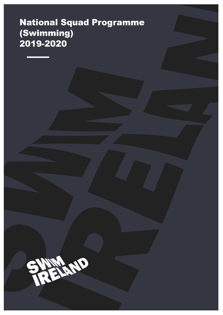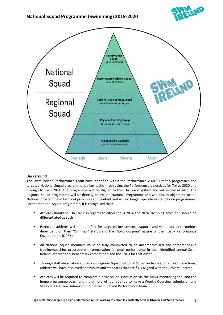



#### **Background**

The Swim Ireland Performance Team have identified within the Performance V-MOST that a progressive and targeted National Squad programme is a key tactic in achieving the Performance objectives for Tokyo 2020 and through to Paris 2024. The programme will be aligned to the 'On Track' system and will evolve as such. The Regional Squad programme will sit directly below the National Programme and will display alignment to the National programme in terms of principles and content and will no longer operate as standalone programmes. For the National Squad programme, it is recognised that:

- Athletes should be 'On Track' in regards to either the 2020 or the 2024 Olympic Games and should be differentiated as such
- Particular athletes will be identified for targeted investment, support, and value-add opportunities dependent on their 'On Track' status and the 'fit-for-purpose' nature of their Daily Performance Environments (DPE's)
- All National Squad members must be fully committed to an uncompromised and comprehensive training/coaching programme in preparation for peak performance in their identified annual Swim Ireland international benchmark competition and the Trials for that event
- **E** Through staff observation at previous Regional Squad, National Squad and/or National Team selections, athletes will have displayed behaviours and standards that are fully aligned with the Athlete Charter
- **■** Athletes will be required to complete a daily online submission via the HRV4 monitoring tool and the home programme coach and the athlete will be required to make a Weekly Overview submission and Seasonal Overview submission to the Swim Ireland Performance Team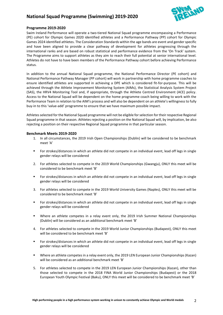

#### **Programme 2019-2020**

Swim Ireland Performance will operate a two-tiered National Squad programme encompassing a Performance (PE) cohort for Olympic Games 2020 identified athletes and a Performance Pathway (PP) cohort for Olympic Games 2024 identified athletes. The Consideration Standards within the age bands are event and gender specific and have been aligned to provide a clear pathway of development for athletes progressing through the international ranks and are based on robust statistical and performance evidence from the 'On Track' system. The Programme aims to support athletes as they aim to reach their full potential at senior international level. Athletes do not have to have been members of the Performance Pathway cohort before achieving Performance status.

In addition to the annual National Squad programme, the National Performance Director (PE cohort) and National Performance Pathway Manager (PP cohort) will work in partnership with home programme coaches to ensure identified athletes are supported in achieving a DPE which is considered fit-for-purpose. This will be achieved through the Athlete Improvement Monitoring System (AIMs), the Statistical Analysis System Project (SAS), the HRV4 Monitoring Tool and, if appropriate, through the Athlete Centred Environment (ACE) policy. Access to the National Squad will be dependent on the home programme coach being willing to work with the Performance Team in relation to the AIM's process and will also be dependent on an athlete's willingness to fully buy-in to this 'value-add' programme to ensure that we have maximum possible impact.

Athletes selected for the National Squad programme will not be eligible for selection for their respective Regional Squad programme in that season. Athletes rejecting a position on the National Squad will, by implication, be also rejecting a position on their respective Regional Squad programme in that particular season.

#### **Benchmark Meets 2019-2020**

- 1. In all circumstances, the 2019 Irish Open Championships (Dublin) will be considered to be benchmark meet 'A'
- For strokes/distances in which an athlete did not compete in an individual event, lead off legs in single gender relays will be considered
- 2. For athletes selected to compete in the 2019 World Championships (Gwangju), ONLY this meet will be considered to be benchmark meet 'B'
- For strokes/distances in which an athlete did not compete in an individual event, lead off legs in single gender relays will be considered
- 3. For athletes selected to compete in the 2019 World University Games (Naples), ONLY this meet will be considered to be benchmark meet 'B'
- For strokes/distances in which an athlete did not compete in an individual event, lead off legs in single gender relays will be considered
- Where an athlete competes in a relay event only, the 2019 Irish Summer National Championships (Dublin) will be considered as an additional benchmark meet 'B'
- 4. For athletes selected to compete in the 2019 World Junior Championships (Budapest), ONLY this meet will be considered to be benchmark meet 'B'
- For strokes/distances in which an athlete did not compete in an individual event, lead off legs in single gender relays will be considered
- Where an athlete competes in a relay event only, the 2019 LEN European Junior Championships (Kazan) will be considered as an additional benchmark meet 'B'
- 5. For athletes selected to compete in the 2019 LEN European Junior Championships (Kazan), other than those selected to compete in the 2018 FINA World Junior Championships (Budapest) or the 2018 European Youth Olympic Festival (Baku), ONLY this meet will be considered to be benchmark meet 'B'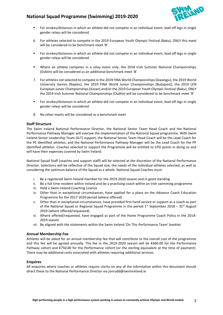

- For strokes/distances in which an athlete did not compete in an individual event, lead off legs in single gender relays will be considered
- 6. For athletes selected to compete in the 2019 European Youth Olympic Festival (Baku), ONLY this meet will be considered to be benchmark meet 'B'
- For strokes/distances in which an athlete did not compete in an individual event, lead off legs in single gender relays will be considered
- Where an athlete competes in a relay event only, the 2018 Irish Summer National Championships (Dublin) will be considered as an additional benchmark meet 'B'
- 7. For athletes not selected to compete in the 2019 FINA World Championships (Gwangju), the 2019 World University Games (Naples), the 2019 FINA World Junior Championships (Budapest), the 2019 LEN European Junior Championships (Kazan) and/or the 2019 European Youth Olympic Festival (Baku), ONLY the 2019 Irish Summer National Championships (Dublin) will be considered to be benchmark meet 'B'
- For strokes/distances in which an athlete did not compete in an individual event, lead off legs in single gender relays will be considered
- 8. No other meets will be considered as a benchmark meet

#### **Staff Structure**

The Swim Ireland National Performance Director, the National Senior Team Head Coach and the National Performance Pathway Manager will oversee the implementation of the National Squad programme. With Swim Ireland Senior Leadership Team (SLT) support, the National Senior Team Head Coach will be the Lead Coach for the PE identified athletes, and the National Performance Pathway Manager will be the Lead Coach for the PP identified athletes. Coaches selected to support the Programme will be entitled to CPD points in doing so and will have their expenses covered by Swim Ireland.

National Squad Staff (coaches and support staff) will be selected at the discretion of the National Performance Director. Selections will be reflective of the Squad size, the needs of the individual athletes selected, as well as considering the optimum balance of the Squad as a whole. National Squad Coaches must:

- i. Be a registered Swim Ireland member for the 2019-2020 season and in good standing
- ii. Be a full time resident within Ireland and be a practising coach within an Irish swimming programme
- iii. Hold a Swim Ireland Coaching Licence
- iv. Other than in exceptional circumstances, have applied for a place on the Advance Coach Education Programme for the 2017-2020 period (where offered)
- v. Other than in exceptional circumstances, have provided first hand service or support as a coach as part of the National Squad or Regional Squad Programme in the period  $1^{st}$  September 2018 – 31st August 2019 (where offered/requested)
- vi. Where offered/requested, have engaged as part of the Home Programme Coach Policy in the 2018- 2019 season
- vii. Be aligned with the statements within the Swim Ireland 'On This Performance Team' booklet

#### **Annual Membership Fee**

Athletes will be asked for an annual membership fee that will contribute to the overall cost of the programme and this fee will be agreed annually. The fee in the 2019-2020 season will be €460.00 for the Performance Pathway cohort and €750.00 for the Performance cohort (or the sterling equivalent at the time of payment). There may be additional costs associated with athletes requiring additional services.

#### **Enquires**

All enquiries where coaches or athletes require clarity on any of the information within this document should direct these to the National Performance Director via jonrudd@swimireland.ie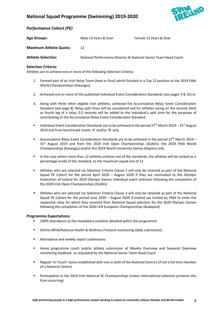

### *Performance Cohort (PE)*

| <b>Age Groups:</b>            | Male 14 Years & Over                                            | Female 13 Years & Over |
|-------------------------------|-----------------------------------------------------------------|------------------------|
| <b>Maximum Athlete Quota:</b> | 12                                                              |                        |
| <b>Athlete Selection:</b>     | National Performance Director & National Senior Team Head Coach |                        |

#### **Selection Criteria:**

Athletes are to achieve one or more of the following Selection Criteria:

- 1. Formed part of an Irish Relay Team (heat or final) which finished in a Top 12 position at the 2019 FINA World Championships (Gwangju)
- 2. Achieved one or more of the published Individual Event Consideration Standards (see pages 9 & 10) or
- 3. Along with three other eligible Irish athletes, achieved the Accumulative Relay Event Consideration Standard (see page 8). Relay split times will be considered and for athletes racing on the second, third or fourth leg of a relay, 0.5 seconds will be added to the individual's split time for the purposes of contributing to the Accumulative Relay Event Consideration Standard
- **■** Individual Event Consideration Standards are to be achieved in the period 27<sup>th</sup> March 2019 31<sup>st</sup> August 2019 and from benchmark meets 'A' and/or 'B' only
- Accumulative Relay Event Consideration Standards are to be achieved in the period 27<sup>th</sup> March 2019 31<sup>st</sup> August 2019 and from the 2019 Irish Open Championships (Dublin), the 2019 FINA World Championships (Gwangju) and/or the 2019 World University Games (Naples) only
- In the case where more than 12 athletes achieve one of the standards, the athletes will be ranked as a percentage inside of the standard, to the maximum squad size of 12
- Athletes who are selected via Selection Criteria Clause 2 will only be retained as part of the National Squad PE Cohort for the period April 2020 – August 2020 if they are nominated to the Olympic Federation of Ireland for 2020 Olympic Games individual event selection following the completion of the 2020 Irish Open Championships (Dublin)
- Athletes who are selected via Selection Criteria Clause 3 will only be retained as part of the National Squad PE Cohort for the period June 2020 – August 2020 if Ireland are invited by FINA to enter the respective relay for which they received their National Squad selection for the 2020 Olympic Games following the completion of the 2020 LEN European Championships (Budapest)

#### **Programme Expectations:**

- 100% attendance to the mandatory activities detailed within the programme
- Online HRV4/National Health & Wellness Protocol monitoring (daily submission)
- Attendance and weekly report submissions
- Home programme coach and/or athlete submission of Weekly Overview and Seasonal Overview monitoring feedback as requested by the National Senior Team Head Coach
- Regular 'In-Touch' status established with one or both of the National Centres (if not a full time member of a National Centre)
- **■** Participation in the 2019 Irish National SC Championships (unless international selection prevents this from occurring)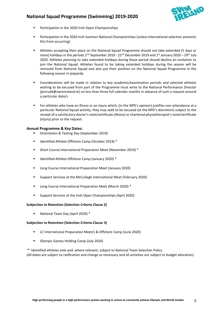

- Participation in the 2020 Irish Open Championships
- Participation in the 2020 Irish Summer National Championships (unless international selection prevents this from occurring)
- Athletes accepting their place on the National Squad Programme should not take extended (5 days or more) holidays in the periods  $2^{nd}$  September 2019 - 22<sup>nd</sup> December 2019 and 1<sup>st</sup> January 2020 – 29<sup>th</sup> July 2020. Athletes planning to take extended holidays during these period should decline an invitation to join the National Squad. Athletes found to be taking extended holidays during the season will be removed from National Squad and also put their position on the National Squad Programme in the following season in jeopardy
- Considerations will be made in relation to key academic/examination periods and selected athletes wishing to be excused from part of the Programme must write to the National Performance Director (jonrudd@swimireland.ie) no less than three full calendar months in advance of such a request around a particular date/s
- For athletes who have an illness or an injury which, (in the NPD's opinion) justifies non-attendance at a particular National Squad activity, they may seek to be excused (at the NPD's discretion) subject to the receipt of a satisfactory doctor's note/certificate (illness) or chartered physiotherapist's note/certificate (injury) prior to the request

#### **Annual Programme & Key Dates:**

- Orientation & Testing Day (September 2019)
- Identified Athlete Offshore Camp (October 2019) \*
- Short Course International Preparation Meet (November 2019) \*
- Identified Athlete Offshore Camp (January 2020) \*
- Long Course International Preparation Meet (January 2020)
- Support Services at the McCullagh International Meet (February 2020)
- Long Course International Preparation Meet (March 2020) \*
- Support Services at the Irish Open Championships (April 2020)

#### **Subjection to Retention (Selection Criteria Clause 2)**

■ National Team Day (April 2020) \*

#### **Subjection to Retention (Selection Criteria Clause 3)**

- LC International Preparation Meet/s & Offshore Camp (June 2020)
- Olympic Games Holding Camp (July 2020)

'\*' Identified athletes only and, where relevant, subject to National Team Selection Policy (All dates are subject to ratification and change as necessary and all activities are subject to budget allocation)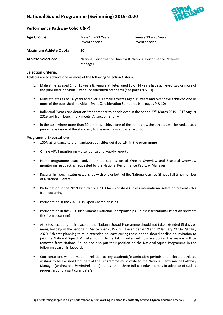

#### **Performance Pathway Cohort (PP)**

| <b>Age Groups:</b>            | Male $14 - 23$ Years<br>(event specific)                                | Female 13 - 20 Years<br>(event specific) |  |  |
|-------------------------------|-------------------------------------------------------------------------|------------------------------------------|--|--|
| <b>Maximum Athlete Quota:</b> | 30                                                                      |                                          |  |  |
| <b>Athlete Selection:</b>     | National Performance Director & National Performance Pathway<br>Manager |                                          |  |  |

#### **Selection Criteria:**

Athletes are to achieve one or more of the following Selection Criteria:

- 1. Male athletes aged 14 or 15 years & Female athletes aged 13 or 14 years have achieved two or more of the published Individual Event Consideration Standards (see pages 9 & 10)
- 2. Male athletes aged 16 years and over & Female athletes aged 15 years and over have achieved one or more of the published Individual Event Consideration Standards (see pages 9 & 10)
- **■** Individual Event Consideration Standards are to be achieved in the period 27<sup>th</sup> March 2019 31<sup>st</sup> August 2019 and from benchmark meets 'A' and/or 'B' only
- In the case where more than 30 athletes achieve one of the standards, the athletes will be ranked as a percentage inside of the standard, to the maximum squad size of 30

#### **Programme Expectations:**

- 100% attendance to the mandatory activities detailed within the programme
- Online HRV4 monitoring attendance and weekly reports
- Home programme coach and/or athlete submission of Weekly Overview and Seasonal Overview monitoring feedback as requested by the National Performance Pathway Manager
- Regular 'In-Touch' status established with one or both of the National Centres (if not a full time member of a National Centre)
- **■** Participation in the 2019 Irish National SC Championships (unless international selection prevents this from occurring)
- Participation in the 2020 Irish Open Championships
- Participation in the 2020 Irish Summer National Championships (unless international selection prevents this from occurring)
- Athletes accepting their place on the National Squad Programme should not take extended (5 days or more) holidays in the periods  $2^{nd}$  September 2019 - 22<sup>nd</sup> December 2019 and 1<sup>st</sup> January 2020 – 29<sup>th</sup> July 2020. Athletes planning to take extended holidays during these period should decline an invitation to join the National Squad. Athletes found to be taking extended holidays during the season will be removed from National Squad and also put their position on the National Squad Programme in the following season in jeopardy
- Considerations will be made in relation to key academic/examination periods and selected athletes wishing to be excused from part of the Programme must write to the National Performance Pathway Manager (andrewreid@swimireland.ie) no less than three full calendar months in advance of such a request around a particular date/s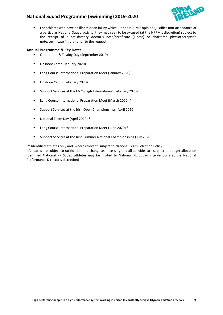

■ For athletes who have an illness or an injury which, (in the NPPM's opinion) justifies non-attendance at a particular National Squad activity, they may seek to be excused (at the NPPM's discretion) subject to the receipt of a satisfactory doctor's note/certificate (illness) or chartered physiotherapist's note/certificate (injury) prior to the request

#### **Annual Programme & Key Dates:**

- Orientation & Testing Day (September 2019)
- Onshore Camp (January 2020)
- Long Course International Preparation Meet (January 2020)
- Onshore Camp (February 2020)
- Support Services at the McCullagh International (February 2020)
- Long Course International Preparation Meet (March 2020) \*
- Support Services at the Irish Open Championships (April 2020)
- National Team Day (April 2020) \*
- Long Course International Preparation Meet (June 2020) \*
- Support Services at the Irish Summer National Championships (July 2020)

'\*' Identified athletes only and, where relevant, subject to National Team Selection Policy

(All dates are subject to ratification and change as necessary and all activities are subject to budget allocation Identified National PP Squad athletes may be invited to National PE Squad interventions at the National Performance Director's discretion)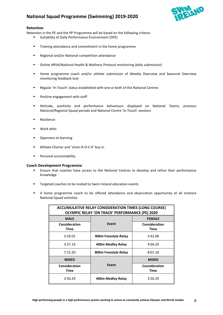

#### **Retention**

Retention in the PE and the PP Programme will be based on the following criteria:

- Suitability of Daily Performance Environment (DPE)
- Training attendance and commitment in the home programme
- Regional and/or National competition attendance
- Online HRV4/National Health & Wellness Protocol monitoring (daily submission)
- **■** Home programme coach and/or athlete submission of Weekly Overview and Seasonal Overview monitoring feedback tool
- Regular 'In-Touch' status established with one or both of the National Centres
- Positive engagement with staff
- Attitude, positivity and performance behaviours displayed on National Teams, previous National/Regional Squad periods and National Centre 'In-Touch' sessions
- Resilience
- Work ethic
- Openness to learning
- Athlete Charter and 'sham-R-O-C-K' buy in
- Personal accountability

#### **Coach Development Programme**

- **Ensure that coaches have access to the National Centres to develop and refine their performance** knowledge
- Targeted coaches to be invited to Swim Ireland education events
- A home programme coach to be offered attendance and observation opportunity at all onshore National Squad activities

| <b>ACCUMULATIVE RELAY CONSIDERATION TIMES (LONG COURSE)</b><br><b>OLYMPIC RELAY 'ON TRACK' PERFORMANCE (PE) 2020</b> |                      |                              |  |  |  |  |  |
|----------------------------------------------------------------------------------------------------------------------|----------------------|------------------------------|--|--|--|--|--|
| <b>MALE</b>                                                                                                          |                      | <b>FEMALE</b>                |  |  |  |  |  |
| Consideration<br>Time                                                                                                | Event                | Consideration<br><b>Time</b> |  |  |  |  |  |
| 3:18.02                                                                                                              | 400m Freestyle Relay | 3:42.68                      |  |  |  |  |  |
| 3:37.16                                                                                                              | 400m Medley Relay    | 4:04.20                      |  |  |  |  |  |
| 7:15.20                                                                                                              | 800m Freestyle Relay | 8:01.18                      |  |  |  |  |  |
| <b>MIXED</b>                                                                                                         |                      | <b>MIXED</b>                 |  |  |  |  |  |
| Consideration<br>Time                                                                                                | Event                | Consideration<br>Time        |  |  |  |  |  |
| 3:50.29                                                                                                              | 400m Medley Relay    | 3:50.29                      |  |  |  |  |  |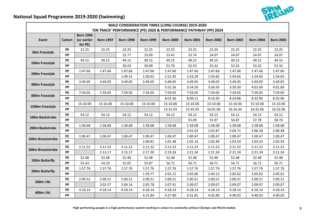

# **National Squad Programme 2019-2020 (Swimming)**

| <b>MALE CONSIDERATION TIMES (LONG COURSE) 2019-2020</b>          |               |                        |                  |                  |                  |                  |                  |                  |                  |                  |                  |
|------------------------------------------------------------------|---------------|------------------------|------------------|------------------|------------------|------------------|------------------|------------------|------------------|------------------|------------------|
| 'ON TRACK' PERFORMANCE (PE) 2020 & PERFORMANCE PATHWAY (PP) 2024 |               |                        |                  |                  |                  |                  |                  |                  |                  |                  |                  |
| Event                                                            | <b>Cohort</b> | <b>Born 1996</b>       | <b>Born 1997</b> | <b>Born 1998</b> |                  |                  | <b>Born 2001</b> |                  |                  |                  |                  |
|                                                                  |               | (or earlier<br>for PE) |                  |                  | <b>Born 1999</b> | <b>Born 2000</b> |                  | <b>Born 2002</b> | <b>Born 2003</b> | <b>Born 2004</b> | <b>Born 2005</b> |
|                                                                  | <b>PE</b>     | 22.25                  | 22.25            | 22.25            | 22.25            | 22.25            | 22.25            | 22.25            | 22.25            | 22.25            | 22.25            |
| 50m Freestyle                                                    | <b>PP</b>     |                        |                  | 22.77            | 23.09            | 23.41            | 23.74            | 24.07            | 24.07            | 24.07            | 24.07            |
|                                                                  | PE            | 49.15                  | 49.15            | 49.15            | 49.15            | 49.15            | 49.15            | 49.15            | 49.15            | 49.15            | 49.15            |
| 100m Freestyle                                                   | <b>PP</b>     |                        |                  | 50.24            | 50.99            | 51.76            | 52.53            | 53.32            | 53.32            | 53.32            | 53.32            |
| 200m Freestyle                                                   | PE            | 1:47.66                | 1:47.66          | 1:47.66          | 1:47.66          | 1:47.66          | 1:47.66          | 1:47.66          | 1:47.66          | 1:47.66          | 1:47.66          |
|                                                                  | <b>PP</b>     |                        |                  | 1:49.31          | 1:50.62          | 1:51.95          | 1:53.29          | 1:54.65          | 1:54.65          | 1:54.65          | 1:54.65          |
| 400m Freestyle                                                   | PE            | 3:49.05                | 3:49.05          | 3:49.05          | 3:49.05          | 3:49.05          | 3:49.05          | 3:49.05          | 3:49.05          | 3:49.05          | 3:49.05          |
|                                                                  | <b>PP</b>     |                        |                  |                  |                  | 3:52.26          | 3:54.59          | 3:56.93          | 3:59.30          | 4:01.69          | 4:01.69          |
| 800m Freestyle                                                   | PE            | 7:59.05                | 7:59.05          | 7:59.05          | 7:59.05          | 7:59.05          | 7:59.05          | 7:59.05          | 7:59.05          | 7:59.05          | 7:59.05          |
|                                                                  | <b>PP</b>     |                        |                  |                  |                  | 8:01.40          | 8:09.11          | 8:16.93          | 8:24.88          | 8:32.96          | 8:32.96          |
|                                                                  | PE            | 15:10.00               | 15:10.00         | 15:10.00         | 15:10.00         | 15:10.00         | 15:10.00         | 15:10.00         | 15:10.00         | 15:10.00         | 15:10.00         |
| 1500m Freestyle                                                  | PP            |                        |                  |                  |                  | 15:31.03         | 15:45.93         | 16:01.06         | 16:16.44         | 16:32.06         | 16:32.06         |
| 100m Backstroke                                                  | PE            | 54.12                  | 54.12            | 54.12            | 54.12            | 54.12            | 54.12            | 54.12            | 54.12            | 54.12            | 54.12            |
|                                                                  | PP            |                        |                  |                  |                  |                  | 55.09            | 55.97            | 56.87            | 57.78            | 58.70            |
| 200m Backstroke                                                  | PE            | 1:58.68                | 1:58.68          | 1:58.68          | 1:58.68          | 1:58.68          | 1:58.68          | 1:58.68          | 1:58.68          | 1:58.68          | 1:58.68          |
|                                                                  | <b>PP</b>     |                        |                  |                  |                  |                  | 2:01.02          | 2:02.87          | 2:04.71          | 2:06.58          | 2:08.48          |
| 100m Breaststroke                                                | PE            | 1:00.47                | 1:00.47          | 1:00.47          | 1:00.47          | 1:00.47          | 1:00.47          | 1:00.47          | 1:00.47          | 1:00.47          | 1:00.47          |
|                                                                  | PP            |                        |                  |                  | 1:00.81          | 1:01.48          | 1:02.16          | 1:02.84          | 1:03.54          | 1:03.54          | 1:03.54          |
| 200m Breaststroke                                                | PE            | 2:11.52                | 2:11.52          | 2:11.52          | 2:11.52          | 2:11.52          | 2:11.52          | 2:11.52          | 2:11.52          | 2:11.52          | 2:11.52          |
|                                                                  | PP            |                        | 2:13.17          | 2:15.17          | 2:17.20          | 2:19.26          | 2:21.34          | 2:21.34          | 2:21.34          | 2:21.34          | 2:21.34          |
| 100m Butterfly                                                   | PE            | 52.48                  | 52.48            | 52.48            | 52.48            | 52.48            | 52.48            | 52.48            | 52.48            | 52.48            | 52.48            |
|                                                                  | PP            | 53.43                  | 54.23            | 55.05            | 55.87            | 56.71            | 56.71            | 56.71            | 56.71            | 56.71            | 56.71            |
| 200m Butterfly                                                   | <b>PE</b>     | 1:57.76                | 1:57.76          | 1:57.76          | 1:57.76          | 1:57.76          | 1:57.76          | 1:57.76          | 1:57.76          | 1:57.76          | 1:57.76          |
|                                                                  | PP            |                        |                  |                  | 1:59.77          | 2:01.21          | 2:02.66          | 2:04.13          | 2:05.62          | 2:05.62          | 2:05.62          |
| 200m I.M.                                                        | PE            | 2:00.51                | 2:00.51          | 2:00.51          | 2:00.51          | 2:00.51          | 2:00.51          | 2:00.51          | 2:00.51          | 2:00.51          | 2:00.51          |
|                                                                  | <b>PP</b>     |                        | 2:02.57          | 2:04.16          | 2:05.78          | 2:07.41          | 2:09.07          | 2:09.07          | 2:09.07          | 2:09.07          | 2:09.07          |
| 400m I.M.                                                        | PE            | 4:18.14                | 4:18.14          | 4:18.14          | 4:18.14          | 4:18.14          | 4:18.14          | 4:18.14          | 4:18.14          | 4:18.14          | 4:18.14          |
|                                                                  | PP            |                        |                  |                  | 4:23.84          | 4:27.80          | 4:31.81          | 4:35.89          | 4:40.03          | 4:40.03          | 4:40.03          |

High performing people in a high performance system working in unison to constantly achieve Olympic and World medals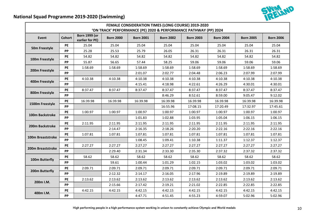

# **National Squad Programme 2019-2020 (Swimming)**

| FEMALE CONSIDERATION TIMES (LONG COURSE) 2019-2020               |               |                                         |                  |                  |                  |                  |                  |                  |                  |
|------------------------------------------------------------------|---------------|-----------------------------------------|------------------|------------------|------------------|------------------|------------------|------------------|------------------|
| 'ON TRACK' PERFORMANCE (PE) 2020 & PERFORMANCE PATHWAY (PP) 2024 |               |                                         |                  |                  |                  |                  |                  |                  |                  |
| Event                                                            | <b>Cohort</b> | <b>Born 1999 (or</b><br>earlier for PE) | <b>Born 2000</b> | <b>Born 2001</b> | <b>Born 2002</b> | <b>Born 2003</b> | <b>Born 2004</b> | <b>Born 2005</b> | <b>Born 2006</b> |
| 50m Freestyle                                                    | PE            | 25.04                                   | 25.04            | 25.04            | 25.04            | 25.04            | 25.04            | 25.04            | 25.04            |
|                                                                  | <b>PP</b>     | 25.28                                   | 25.53            | 25.79            | 26.05            | 26.31            | 26.31            | 26.31            | 26.31            |
| 100m Freestyle                                                   | PE            | 54.82                                   | 54.82            | 54.82            | 54.82            | 54.82            | 54.82            | 54.82            | 54.82            |
|                                                                  | PP            | 55.87                                   | 56.65            | 57.44            | 58.25            | 59.06            | 59.06            | 59.06            | 59.06            |
| 200m Freestyle                                                   | PE            | 1:58.69                                 | 1:58.69          | 1:58.69          | 1:58.69          | 1:58.69          | 1:58.69          | 1:58.69          | 1:58.69          |
|                                                                  | PP            |                                         |                  | 2:01.07          | 2:02.77          | 2:04.48          | 2:06.23          | 2:07.99          | 2:07.99          |
| 400m Freestyle                                                   | PE            | 4:10.38                                 | 4:10.38          | 4:10.38          | 4:10.38          | 4:10.38          | 4:10.38          | 4:10.38          | 4:10.38          |
|                                                                  | <b>PP</b>     |                                         |                  | 4:15.41          | 4:18.98          | 4:22.61          | 4:26.29          | 4:30.01          | 4:30.01          |
| 800m Freestyle                                                   | PE            | 8:37.47                                 | 8:37.47          | 8:37.47          | 8:37.47          | 8:37.47          | 8:37.47          | 8:37.47          | 8:37.47          |
|                                                                  | <b>PP</b>     |                                         |                  |                  | 8:46.29          | 8:52.61          | 8:59.00          | 9:05.47          | 9:12.02          |
|                                                                  | PE            | 16:39.98                                | 16:39.98         | 16:39.98         | 16:39.98         | 16:39.98         | 16:39.98         | 16:39.98         | 16:39.98         |
| 1500m Freestyle                                                  | <b>PP</b>     |                                         |                  |                  | 16:55.96         | 17:08.15         | 17:20.49         | 17:32.97         | 17:45.61         |
| 100m Backstroke                                                  | PE            | 1:00.97                                 | 1:00.97          | 1:00.97          | 1:00.97          | 1:00.97          | 1:00.97          | 1:00.97          | 1:00.97          |
|                                                                  | PP            |                                         |                  | 1:01.83          | 1:02.88          | 1:03.95          | 1:05.04          | 1:06.15          | 1:06.15          |
|                                                                  | PE            | 2:11.95                                 | 2:11.95          | 2:11.95          | 2:11.95          | 2:11.95          | 2:11.95          | 2:11.95          | 2:11.95          |
| 200m Backstroke                                                  | PP            |                                         | 2:14.47          | 2:16.35          | 2:18.26          | 2:20.20          | 2:22.16          | 2:22.16          | 2:22.16          |
| 100m Breaststroke                                                | PE            | 1:07.81                                 | 1:07.81          | 1:07.81          | 1:07.81          | 1:07.81          | 1:07.81          | 1:07.81          | 1:07.81          |
|                                                                  | <b>PP</b>     |                                         |                  | 1:08.45          | 1:09.41          | 1:10.38          | 1:11.37          | 1:12.37          | 1:12.37          |
| 200m Breaststroke                                                | PE            | 2:27.27                                 | 2:27.27          | 2:27.27          | 2:27.27          | 2:27.27          | 2:27.27          | 2:27.27          | 2:27.27          |
|                                                                  | PP            |                                         | 2:29.40          | 2:31.34          | 2:33.30          | 2:35.30          | 2:37.32          | 2:37.32          | 2:37.32          |
| 100m Butterfly                                                   | PE            | 58.62                                   | 58.62            | 58.62            | 58.62            | 58.62            | 58.62            | 58.62            | 58.62            |
|                                                                  | PP            |                                         | 59.61            | 1:00.44          | 1:01.29          | 1:02.15          | 1:03.02          | 1:03.02          | 1:03.02          |
|                                                                  | PE            | 2:09.71                                 | 2:09.71          | 2:09.71          | 2:09.71          | 2:09.71          | 2:09.71          | 2:09.71          | 2:09.71          |
| 200m Butterfly                                                   | <b>PP</b>     |                                         | 2:12.32          | 2:14.17          | 2:16.05          | 2:17.96          | 2:19.89          | 2:19.89          | 2:19.89          |
|                                                                  | PE            | 2:13.62                                 | 2:13.62          | 2:13.62          | 2:13.62          | 2:13.62          | 2:13.62          | 2:13.62          | 2:13.62          |
| 200m I.M.                                                        | <b>PP</b>     |                                         | 2:15.66          | 2:17.42          | 2:19.21          | 2:21.02          | 2:22.85          | 2:22.85          | 2:22.85          |
|                                                                  | PE            | 4:42.15                                 | 4:42.15          | 4:42.15          | 4:42.15          | 4:42.15          | 4:42.15          | 4:42.15          | 4:42.15          |
| 400m I.M.                                                        | PP            |                                         |                  | 4:47.71          | 4:51.45          | 4:55.23          | 4:59.07          | 5:02.96          | 5:02.96          |

High performing people in a high performance system working in unison to constantly achieve Olympic and World medals